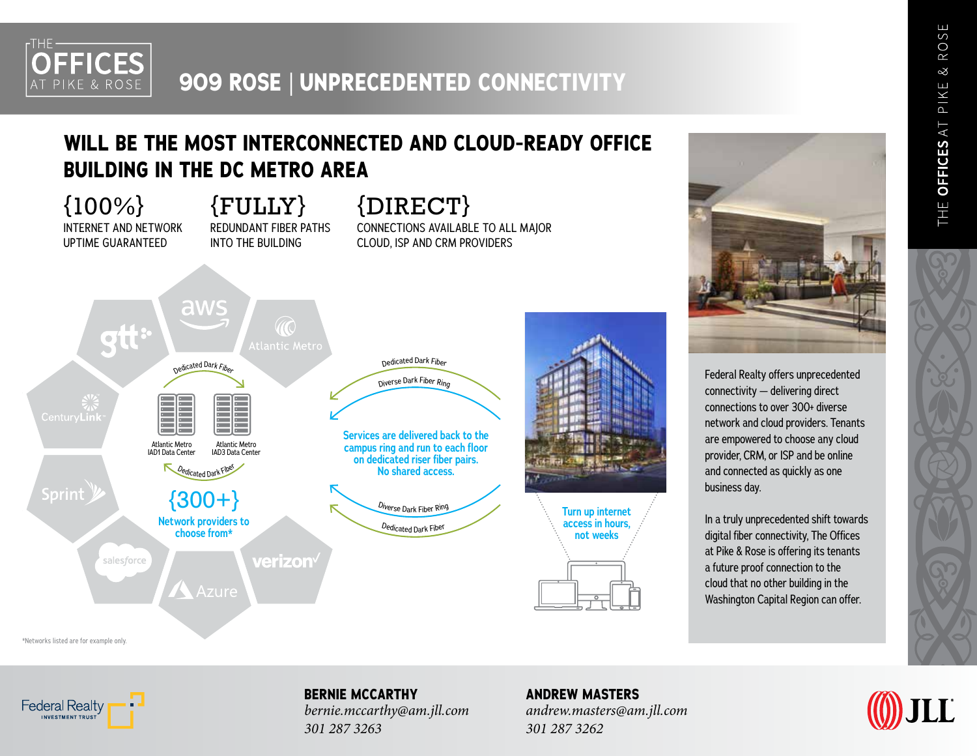

## **909 ROSE** | **UNPRECEDENTED CONNECTIVITY**

### **WILL BE THE MOST INTERCONNECTED AND CLOUD-READY OFFICE BUILDING IN THE DC METRO AREA**

{100%} INTERNET AND NETWORK UPTIME GUARANTEED {FULLY} REDUNDANT FIBER PATHS INTO THE BUILDING

{DIRECT} CONNECTIONS AVAILABLE TO ALL MAJOR CLOUD, ISP AND CRM PROVIDERS





Federal Realty offers unprecedented connectivity — delivering direct connections to over 300+ diverse network and cloud providers. Tenants are empowered to choose any cloud provider, CRM, or ISP and be online and connected as quickly as one business day.

In a truly unprecedented shift towards digital fiber connectivity, The Offices at Pike & Rose is offering its tenants a future proof connection to the cloud that no other building in the Washington Capital Region can offer.

\*Networks listed are for example only.



**BERNIE MCCARTHY** *bernie.mccarthy@am.jll.com 301 287 3263*

**ANDREW MASTERS** *andrew.masters@am.jll.com 301 287 3262*